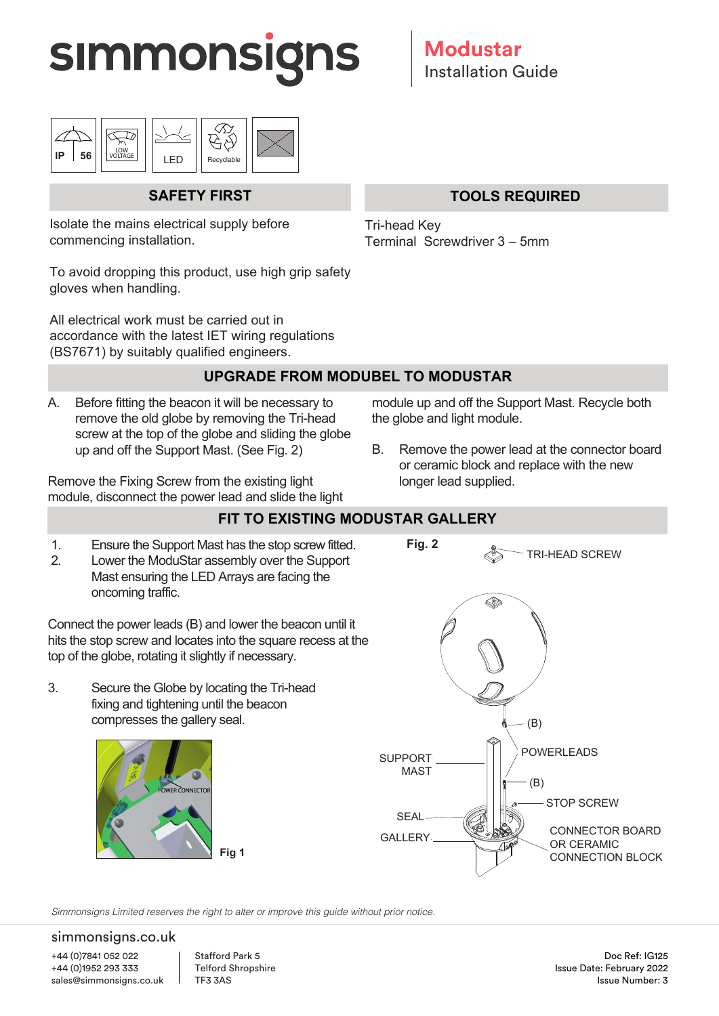



## **SAFETY FIRST**

Isolate the mains electrical supply before commencing installation.

To avoid dropping this product, use high grip safety gloves when handling.

All electrical work must be carried out in accordance with the latest IET wiring regulations (BS7671) by suitably qualified engineers.

### **TOOLS REQUIRED**

Tri-head Key Terminal Screwdriver 3 – 5mm

### **UPGRADE FROM MODUBEL TO MODUSTAR**

A. Before fitting the beacon it will be necessary to remove the old globe by removing the Tri-head screw at the top of the globe and sliding the globe up and off the Support Mast. (See Fig. 2)

Remove the Fixing Screw from the existing light module, disconnect the power lead and slide the light module up and off the Support Mast. Recycle both the globe and light module.

B. Remove the power lead at the connector board or ceramic block and replace with the new longer lead supplied.

### **FIT TO EXISTING MODUSTAR GALLERY**

1. Ensure the Support Mast has the stop screw fitted.

 2. Lower the ModuStar assembly over the Support Mast ensuring the LED Arrays are facing the oncoming traffic.

Connect the power leads (B) and lower the beacon until it hits the stop screw and locates into the square recess at the top of the globe, rotating it slightly if necessary.

3. Secure the Globe by locating the Tri-head fixing and tightening until the beacon compresses the gallery seal.





*Simmonsigns Limited reserves the right to alter or improve this guide without prior notice.*

#### simmonsigns.co.uk

+44 (0)7841 052 022 +44 (0)1952 293 333 sales@simmonsigns.co.uk Stafford Park 5 Telford Shropshire TF3 3AS

Doc Ref: IG125 Issue Date: February 2022 Issue Number: 3